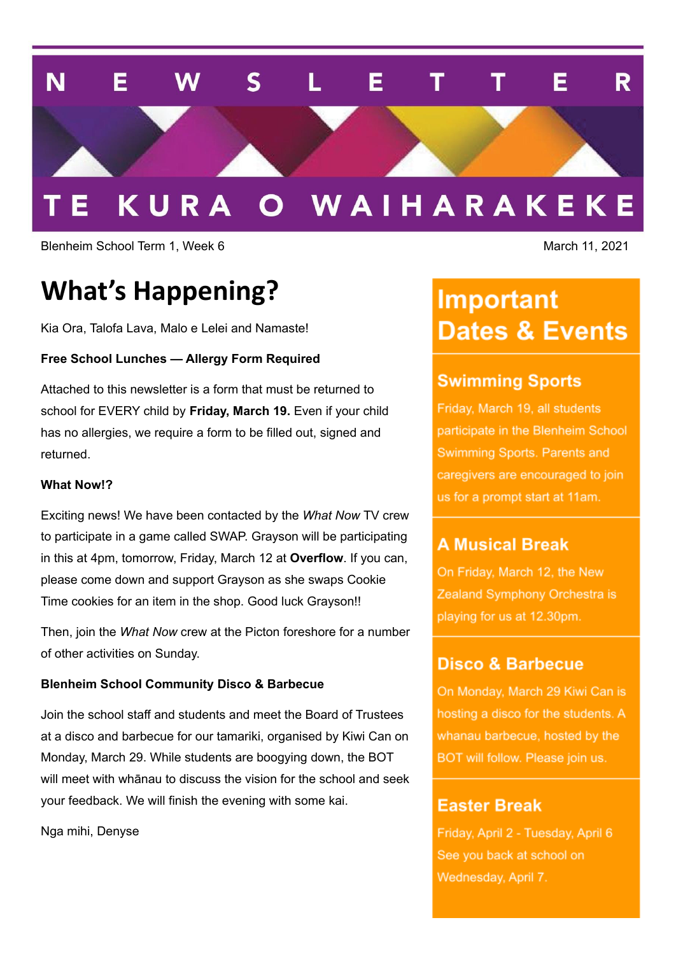

#### O WAIHARAKEKE KURA

Blenheim School Term 1, Week 6 March 11, 2021

## **What's Happening?**

Kia Ora, Talofa Lava, Malo e Lelei and Namaste!

#### **Free School Lunches — Allergy Form Required**

Attached to this newsletter is a form that must be returned to school for EVERY child by **Friday, March 19.** Even if your child has no allergies, we require a form to be filled out, signed and returned.

#### **What Now!?**

Exciting news! We have been contacted by the *What Now* TV crew to participate in a game called SWAP. Grayson will be participating in this at 4pm, tomorrow, Friday, March 12 at **Overflow**. If you can, please come down and support Grayson as she swaps Cookie Time cookies for an item in the shop. Good luck Grayson!!

Then, join the *What Now* crew at the Picton foreshore for a number of other activities on Sunday.

#### **Blenheim School Community Disco & Barbecue**

Join the school staff and students and meet the Board of Trustees at a disco and barbecue for our tamariki, organised by Kiwi Can on Monday, March 29. While students are boogying down, the BOT will meet with whānau to discuss the vision for the school and seek your feedback. We will finish the evening with some kai.

Nga mihi, Denyse

## **Important Dates & Events**

## **Swimming Sports**

Friday, March 19, all students participate in the Blenheim School Swimming Sports. Parents and caregivers are encouraged to join us for a prompt start at 11am.

## **A Musical Break**

On Friday, March 12, the New Zealand Symphony Orchestra is playing for us at 12.30pm.

### Disco & Barbecue

On Monday, March 29 Kiwi Can is hosting a disco for the students. A whanau barbecue, hosted by the BOT will follow. Please join us.

## **Easter Break**

Friday, April 2 - Tuesday, April 6 See you back at school on Wednesday, April 7.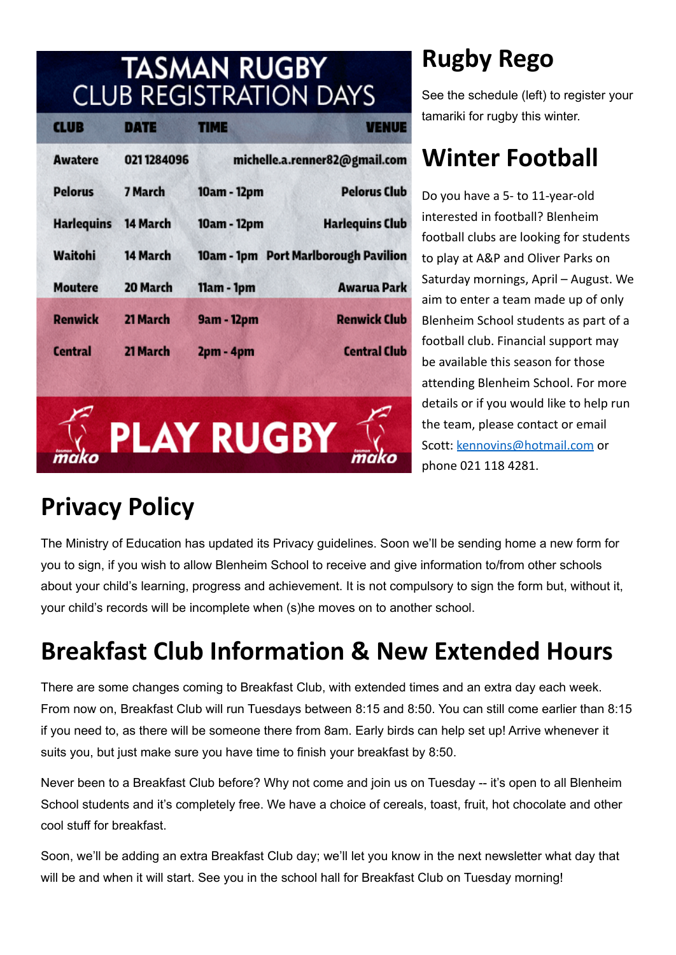# **TASMAN RUGBY<br>CLUB REGISTRATION DAYS**

| <b>CLUB</b>       | DATE       | TIME                                 | <b>VENUE</b>                  |
|-------------------|------------|--------------------------------------|-------------------------------|
| <b>Awatere</b>    | 0211284096 |                                      | michelle.a.renner82@gmail.com |
| <b>Pelorus</b>    | 7 March    | 10am - 12pm                          | <b>Pelorus Club</b>           |
| <b>Harlequins</b> | 14 March   | 10am - 12pm                          | <b>Harlequins Club</b>        |
| Waitohi           | 14 March   | 10am - 1pm Port Marlborough Pavilion |                               |
| <b>Moutere</b>    | 20 March   | 11am - 1pm                           | <b>Awarua Park</b>            |
| <b>Renwick</b>    | 21 March   | 9am - 12pm                           | <b>Renwick Club</b>           |
| <b>Central</b>    | 21 March   | 2pm - 4pm                            | <b>Central Club</b>           |
|                   |            |                                      |                               |
|                   |            |                                      |                               |
|                   |            | <b>PLAY RUGBY</b>                    |                               |
|                   |            |                                      |                               |

# **Rugby Rego**

See the schedule (left) to register your tamariki for rugby this winter.

## **Winter Football**

Do you have a 5- to 11-year-old interested in football? Blenheim football clubs are looking for students to play at A&P and Oliver Parks on Saturday mornings, April – August. We aim to enter a team made up of only Blenheim School students as part of a football club. Financial support may be available this season for those attending Blenheim School. For more details or if you would like to help run the team, please contact or email Scott: [kennovins@hotmail.com](mailto:kennovins@hotmail.com) or phone 021 118 4281.

# **Privacy Policy**

The Ministry of Education has updated its Privacy guidelines. Soon we'll be sending home a new form for you to sign, if you wish to allow Blenheim School to receive and give information to/from other schools about your child's learning, progress and achievement. It is not compulsory to sign the form but, without it, your child's records will be incomplete when (s)he moves on to another school.

# **Breakfast Club Information & New Extended Hours**

There are some changes coming to Breakfast Club, with extended times and an extra day each week. From now on, Breakfast Club will run Tuesdays between 8:15 and 8:50. You can still come earlier than 8:15 if you need to, as there will be someone there from 8am. Early birds can help set up! Arrive whenever it suits you, but just make sure you have time to finish your breakfast by 8:50.

Never been to a Breakfast Club before? Why not come and join us on Tuesday -- it's open to all Blenheim School students and it's completely free. We have a choice of cereals, toast, fruit, hot chocolate and other cool stuff for breakfast.

Soon, we'll be adding an extra Breakfast Club day; we'll let you know in the next newsletter what day that will be and when it will start. See you in the school hall for Breakfast Club on Tuesday morning!